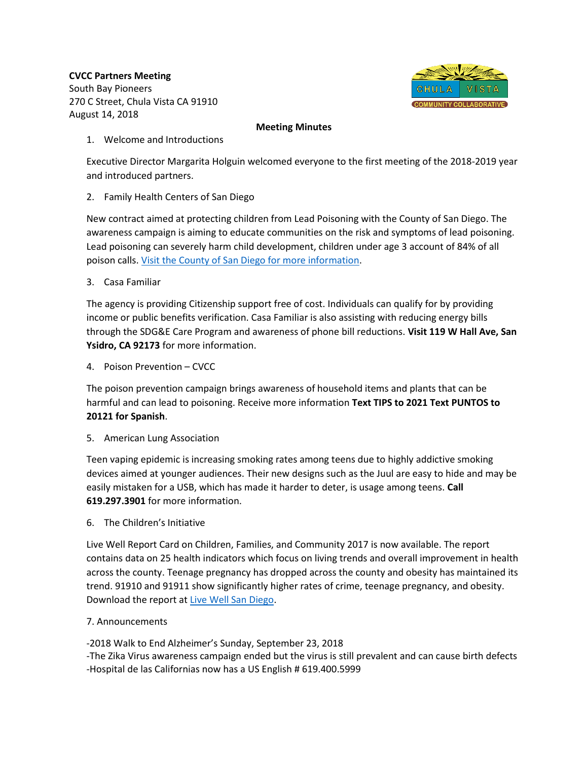**CVCC Partners Meeting** South Bay Pioneers 270 C Street, Chula Vista CA 91910 August 14, 2018



## **Meeting Minutes**

1. Welcome and Introductions

Executive Director Margarita Holguin welcomed everyone to the first meeting of the 2018-2019 year and introduced partners.

2. Family Health Centers of San Diego

New contract aimed at protecting children from Lead Poisoning with the County of San Diego. The awareness campaign is aiming to educate communities on the risk and symptoms of lead poisoning. Lead poisoning can severely harm child development, children under age 3 account of 84% of all poison calls. [Visit the County of San Diego for more information.](https://www.sandiegocounty.gov/hhsa/programs/phs/child_lead_poisoning_prevention_program/index.html)

3. Casa Familiar

The agency is providing Citizenship support free of cost. Individuals can qualify for by providing income or public benefits verification. Casa Familiar is also assisting with reducing energy bills through the SDG&E Care Program and awareness of phone bill reductions. **Visit 119 W Hall Ave, San Ysidro, CA 92173** for more information.

4. Poison Prevention – CVCC

The poison prevention campaign brings awareness of household items and plants that can be harmful and can lead to poisoning. Receive more information **Text TIPS to 2021 Text PUNTOS to 20121 for Spanish**.

5. American Lung Association

Teen vaping epidemic is increasing smoking rates among teens due to highly addictive smoking devices aimed at younger audiences. Their new designs such as the Juul are easy to hide and may be easily mistaken for a USB, which has made it harder to deter, is usage among teens. **Call 619.297.3901** for more information.

6. The Children's Initiative

Live Well Report Card on Children, Families, and Community 2017 is now available. The report contains data on 25 health indicators which focus on living trends and overall improvement in health across the county. Teenage pregnancy has dropped across the county and obesity has maintained its trend. 91910 and 91911 show significantly higher rates of crime, teenage pregnancy, and obesity. Download the report at [Live Well San Diego.](http://www.livewellsd.org/content/livewell/home.html)

7. Announcements

-2018 Walk to End Alzheimer's Sunday, September 23, 2018 -The Zika Virus awareness campaign ended but the virus is still prevalent and can cause birth defects -Hospital de las Californias now has a US English # 619.400.5999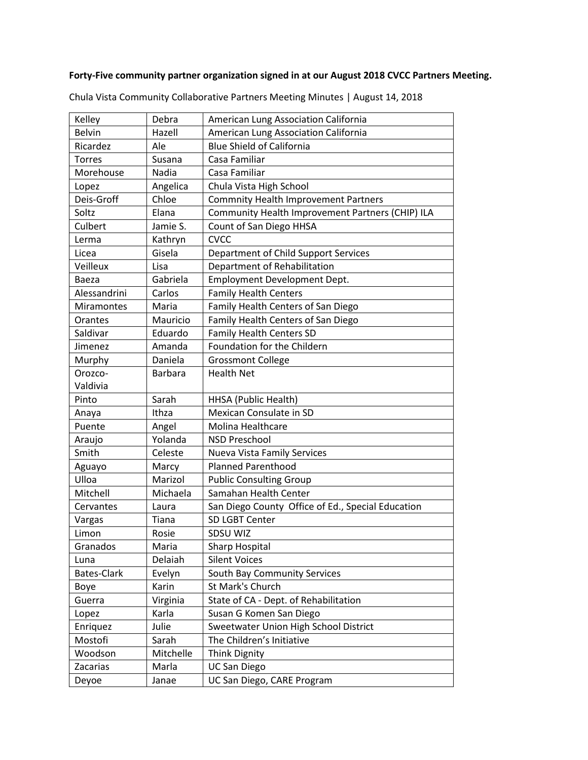## **Forty-Five community partner organization signed in at our August 2018 CVCC Partners Meeting.**

| Kelley             | Debra          | American Lung Association California              |
|--------------------|----------------|---------------------------------------------------|
| <b>Belvin</b>      | Hazell         | American Lung Association California              |
| Ricardez           | Ale            | <b>Blue Shield of California</b>                  |
| <b>Torres</b>      | Susana         | Casa Familiar                                     |
| Morehouse          | <b>Nadia</b>   | Casa Familiar                                     |
| Lopez              | Angelica       | Chula Vista High School                           |
| Deis-Groff         | Chloe          | <b>Commnity Health Improvement Partners</b>       |
| Soltz              | Elana          | Community Health Improvement Partners (CHIP) ILA  |
| Culbert            | Jamie S.       | Count of San Diego HHSA                           |
| Lerma              | Kathryn        | <b>CVCC</b>                                       |
| Licea              | Gisela         | Department of Child Support Services              |
| Veilleux           | Lisa           | Department of Rehabilitation                      |
| Baeza              | Gabriela       | <b>Employment Development Dept.</b>               |
| Alessandrini       | Carlos         | <b>Family Health Centers</b>                      |
| <b>Miramontes</b>  | Maria          | Family Health Centers of San Diego                |
| Orantes            | Mauricio       | Family Health Centers of San Diego                |
| Saldivar           | Eduardo        | <b>Family Health Centers SD</b>                   |
| Jimenez            | Amanda         | Foundation for the Childern                       |
| Murphy             | Daniela        | <b>Grossmont College</b>                          |
| Orozco-            | <b>Barbara</b> | <b>Health Net</b>                                 |
| Valdivia           |                |                                                   |
| Pinto              | Sarah          | HHSA (Public Health)                              |
| Anaya              | Ithza          | Mexican Consulate in SD                           |
| Puente             | Angel          | Molina Healthcare                                 |
| Araujo             | Yolanda        | <b>NSD Preschool</b>                              |
| Smith              | Celeste        | <b>Nueva Vista Family Services</b>                |
| Aguayo             | Marcy          | <b>Planned Parenthood</b>                         |
| Ulloa              | Marizol        | <b>Public Consulting Group</b>                    |
| Mitchell           | Michaela       | Samahan Health Center                             |
| Cervantes          | Laura          | San Diego County Office of Ed., Special Education |
| Vargas             | Tiana          | SD LGBT Center                                    |
| Limon              | Rosie          | SDSU WIZ                                          |
| Granados           | Maria          | <b>Sharp Hospital</b>                             |
| Luna               | Delaiah        | <b>Silent Voices</b>                              |
| <b>Bates-Clark</b> | Evelyn         | South Bay Community Services                      |
| Boye               | Karin          | St Mark's Church                                  |
| Guerra             | Virginia       | State of CA - Dept. of Rehabilitation             |
| Lopez              | Karla          | Susan G Komen San Diego                           |
| Enriquez           | Julie          | Sweetwater Union High School District             |
| Mostofi            | Sarah          | The Children's Initiative                         |
| Woodson            | Mitchelle      | <b>Think Dignity</b>                              |
| Zacarias           | Marla          | <b>UC San Diego</b>                               |
| Deyoe              | Janae          | UC San Diego, CARE Program                        |
|                    |                |                                                   |

Chula Vista Community Collaborative Partners Meeting Minutes | August 14, 2018